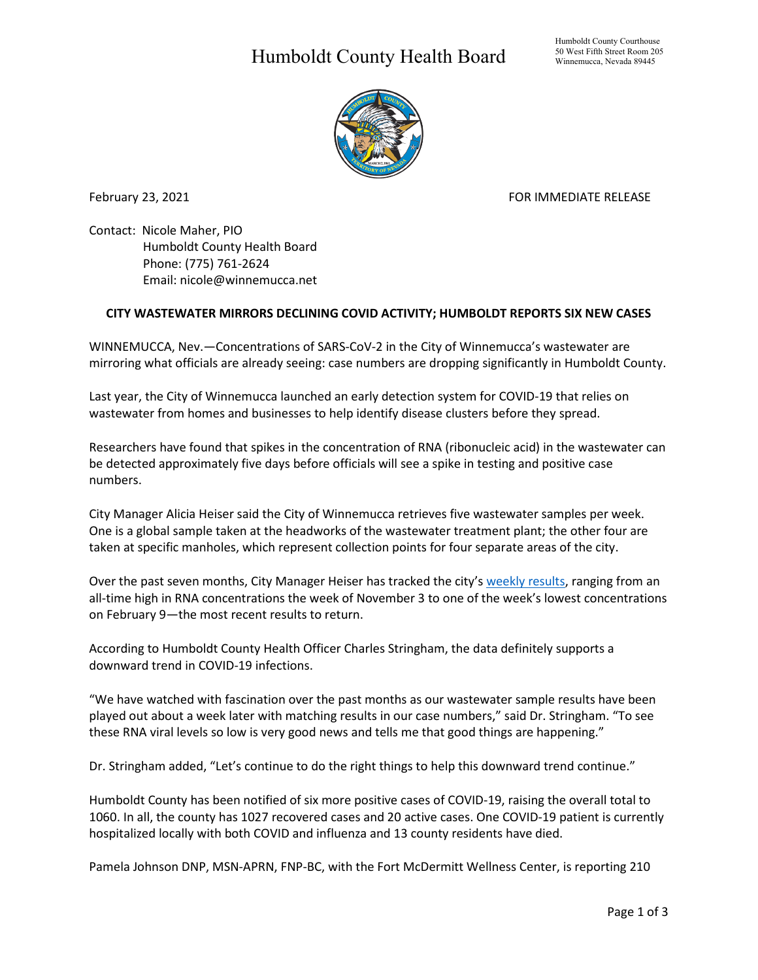## Humboldt County Health Board



February 23, 2021 **FOR IMMEDIATE RELEASE** 

Contact: Nicole Maher, PIO Humboldt County Health Board Phone: (775) 761-2624 Email: nicole@winnemucca.net

## **CITY WASTEWATER MIRRORS DECLINING COVID ACTIVITY; HUMBOLDT REPORTS SIX NEW CASES**

WINNEMUCCA, Nev.—Concentrations of SARS-CoV-2 in the City of Winnemucca's wastewater are mirroring what officials are already seeing: case numbers are dropping significantly in Humboldt County.

Last year, the City of Winnemucca launched an early detection system for COVID-19 that relies on wastewater from homes and businesses to help identify disease clusters before they spread.

Researchers have found that spikes in the concentration of RNA (ribonucleic acid) in the wastewater can be detected approximately five days before officials will see a spike in testing and positive case numbers.

City Manager Alicia Heiser said the City of Winnemucca retrieves five wastewater samples per week. One is a global sample taken at the headworks of the wastewater treatment plant; the other four are taken at specific manholes, which represent collection points for four separate areas of the city.

Over the past seven months, City Manager Heiser has tracked the city's [weekly results,](https://www.hcnv.us/DocumentCenter/View/5309/Covid19-Graphs0223) ranging from an all-time high in RNA concentrations the week of November 3 to one of the week's lowest concentrations on February 9—the most recent results to return.

According to Humboldt County Health Officer Charles Stringham, the data definitely supports a downward trend in COVID-19 infections.

"We have watched with fascination over the past months as our wastewater sample results have been played out about a week later with matching results in our case numbers," said Dr. Stringham. "To see these RNA viral levels so low is very good news and tells me that good things are happening."

Dr. Stringham added, "Let's continue to do the right things to help this downward trend continue."

Humboldt County has been notified of six more positive cases of COVID-19, raising the overall total to 1060. In all, the county has 1027 recovered cases and 20 active cases. One COVID-19 patient is currently hospitalized locally with both COVID and influenza and 13 county residents have died.

Pamela Johnson DNP, MSN-APRN, FNP-BC, with the Fort McDermitt Wellness Center, is reporting 210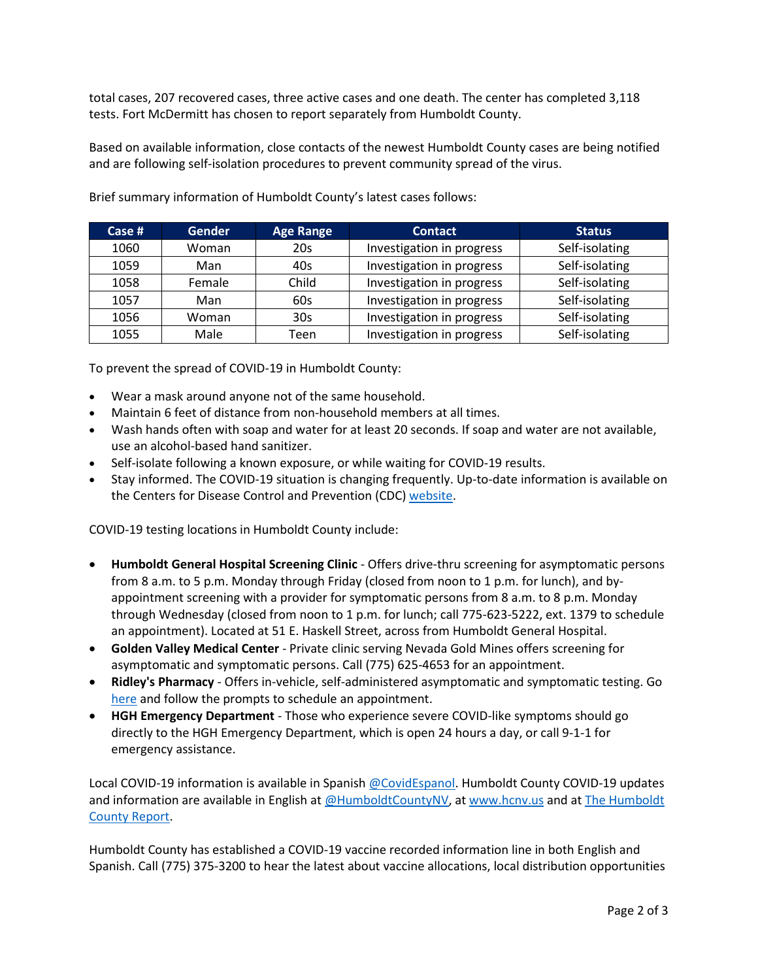total cases, 207 recovered cases, three active cases and one death. The center has completed 3,118 tests. Fort McDermitt has chosen to report separately from Humboldt County.

Based on available information, close contacts of the newest Humboldt County cases are being notified and are following self-isolation procedures to prevent community spread of the virus.

| Case $#$ | <b>Gender</b> | <b>Age Range</b> | <b>Contact</b>            | <b>Status</b>  |
|----------|---------------|------------------|---------------------------|----------------|
| 1060     | Woman         | 20s              | Investigation in progress | Self-isolating |
| 1059     | Man           | 40s              | Investigation in progress | Self-isolating |
| 1058     | Female        | Child            | Investigation in progress | Self-isolating |
| 1057     | Man           | 60s              | Investigation in progress | Self-isolating |
| 1056     | Woman         | 30s              | Investigation in progress | Self-isolating |
| 1055     | Male          | Teen             | Investigation in progress | Self-isolating |

Brief summary information of Humboldt County's latest cases follows:

To prevent the spread of COVID-19 in Humboldt County:

- Wear a mask around anyone not of the same household.
- Maintain 6 feet of distance from non-household members at all times.
- Wash hands often with soap and water for at least 20 seconds. If soap and water are not available, use an alcohol-based hand sanitizer.
- Self-isolate following a known exposure, or while waiting for COVID-19 results.
- Stay informed. The COVID-19 situation is changing frequently. Up-to-date information is available on the Centers for Disease Control and Prevention (CDC) [website.](http://www.cdc.gov/coronavirus/2019-ncov/index.html)

COVID-19 testing locations in Humboldt County include:

- **Humboldt General Hospital Screening Clinic** Offers drive-thru screening for asymptomatic persons from 8 a.m. to 5 p.m. Monday through Friday (closed from noon to 1 p.m. for lunch), and byappointment screening with a provider for symptomatic persons from 8 a.m. to 8 p.m. Monday through Wednesday (closed from noon to 1 p.m. for lunch; call 775-623-5222, ext. 1379 to schedule an appointment). Located at 51 E. Haskell Street, across from Humboldt General Hospital.
- **Golden Valley Medical Center** Private clinic serving Nevada Gold Mines offers screening for asymptomatic and symptomatic persons. Call (775) 625-4653 for an appointment.
- **Ridley's Pharmacy** Offers in-vehicle, self-administered asymptomatic and symptomatic testing. Go [here](https://www.doineedacovid19test.com/Winnemucca_NV_1098.html) and follow the prompts to schedule an appointment.
- **HGH Emergency Department**  Those who experience severe COVID-like symptoms should go directly to the HGH Emergency Department, which is open 24 hours a day, or call 9-1-1 for emergency assistance.

Local COVID-19 information is available in Spanish [@CovidEspanol.](https://www.facebook.com/CovidEspanol) Humboldt County COVID-19 updates and information are available in English at [@HumboldtCountyNV,](https://www.facebook.com/humboldtcountynv) at [www.hcnv.us](http://www.hcnv.us/) and at The Humboldt [County Report.](https://spark.adobe.com/page/llU1h2xbgNKeR/)

Humboldt County has established a COVID-19 vaccine recorded information line in both English and Spanish. Call (775) 375-3200 to hear the latest about vaccine allocations, local distribution opportunities